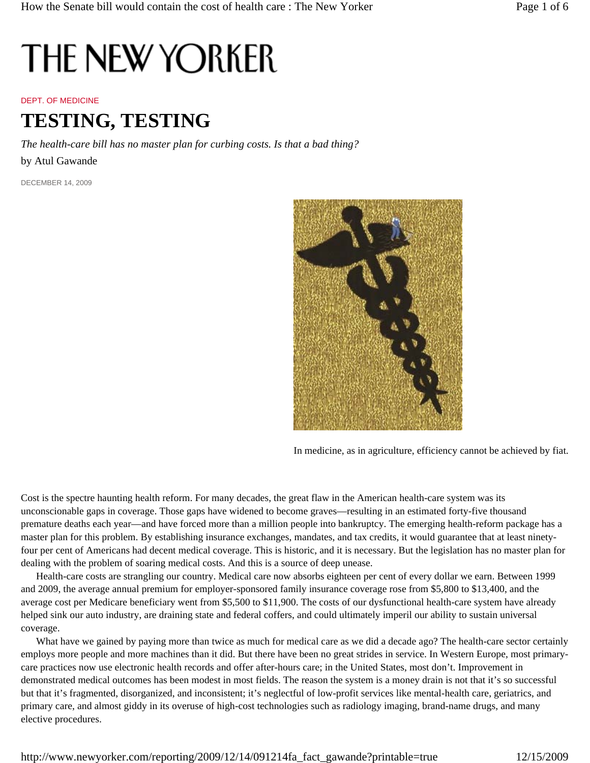## **THE NEW YORKER**

## DEPT. OF MEDICINE

## **TESTING, TESTING**

*The health-care bill has no master plan for curbing costs. Is that a bad thing?* 

by Atul Gawande

DECEMBER 14, 2009



In medicine, as in agriculture, efficiency cannot be achieved by fiat.

Cost is the spectre haunting health reform. For many decades, the great flaw in the American health-care system was its unconscionable gaps in coverage. Those gaps have widened to become graves—resulting in an estimated forty-five thousand premature deaths each year—and have forced more than a million people into bankruptcy. The emerging health-reform package has a master plan for this problem. By establishing insurance exchanges, mandates, and tax credits, it would guarantee that at least ninetyfour per cent of Americans had decent medical coverage. This is historic, and it is necessary. But the legislation has no master plan for dealing with the problem of soaring medical costs. And this is a source of deep unease.

Health-care costs are strangling our country. Medical care now absorbs eighteen per cent of every dollar we earn. Between 1999 and 2009, the average annual premium for employer-sponsored family insurance coverage rose from \$5,800 to \$13,400, and the average cost per Medicare beneficiary went from \$5,500 to \$11,900. The costs of our dysfunctional health-care system have already helped sink our auto industry, are draining state and federal coffers, and could ultimately imperil our ability to sustain universal coverage.

What have we gained by paying more than twice as much for medical care as we did a decade ago? The health-care sector certainly employs more people and more machines than it did. But there have been no great strides in service. In Western Europe, most primarycare practices now use electronic health records and offer after-hours care; in the United States, most don't. Improvement in demonstrated medical outcomes has been modest in most fields. The reason the system is a money drain is not that it's so successful but that it's fragmented, disorganized, and inconsistent; it's neglectful of low-profit services like mental-health care, geriatrics, and primary care, and almost giddy in its overuse of high-cost technologies such as radiology imaging, brand-name drugs, and many elective procedures.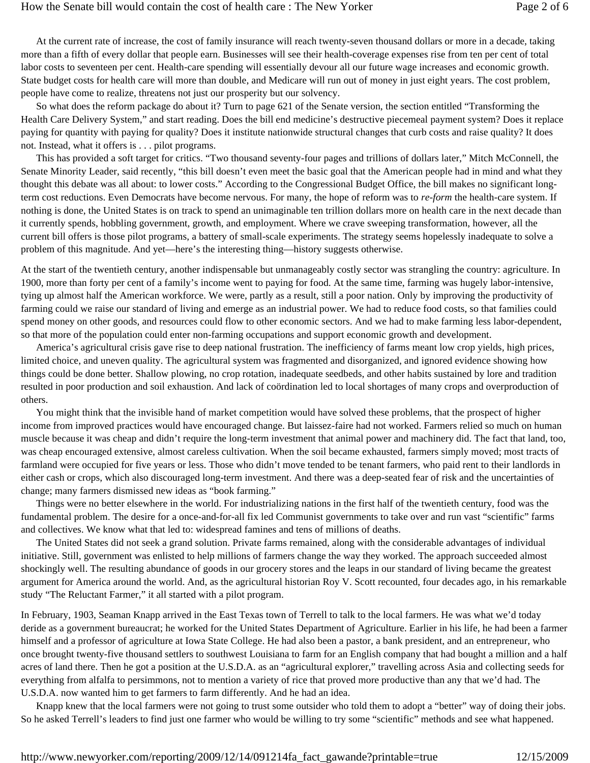At the current rate of increase, the cost of family insurance will reach twenty-seven thousand dollars or more in a decade, taking more than a fifth of every dollar that people earn. Businesses will see their health-coverage expenses rise from ten per cent of total labor costs to seventeen per cent. Health-care spending will essentially devour all our future wage increases and economic growth. State budget costs for health care will more than double, and Medicare will run out of money in just eight years. The cost problem, people have come to realize, threatens not just our prosperity but our solvency.

So what does the reform package do about it? Turn to page 621 of the Senate version, the section entitled "Transforming the Health Care Delivery System," and start reading. Does the bill end medicine's destructive piecemeal payment system? Does it replace paying for quantity with paying for quality? Does it institute nationwide structural changes that curb costs and raise quality? It does not. Instead, what it offers is . . . pilot programs.

This has provided a soft target for critics. "Two thousand seventy-four pages and trillions of dollars later," Mitch McConnell, the Senate Minority Leader, said recently, "this bill doesn't even meet the basic goal that the American people had in mind and what they thought this debate was all about: to lower costs." According to the Congressional Budget Office, the bill makes no significant longterm cost reductions. Even Democrats have become nervous. For many, the hope of reform was to *re-form* the health-care system. If nothing is done, the United States is on track to spend an unimaginable ten trillion dollars more on health care in the next decade than it currently spends, hobbling government, growth, and employment. Where we crave sweeping transformation, however, all the current bill offers is those pilot programs, a battery of small-scale experiments. The strategy seems hopelessly inadequate to solve a problem of this magnitude. And yet—here's the interesting thing—history suggests otherwise.

At the start of the twentieth century, another indispensable but unmanageably costly sector was strangling the country: agriculture. In 1900, more than forty per cent of a family's income went to paying for food. At the same time, farming was hugely labor-intensive, tying up almost half the American workforce. We were, partly as a result, still a poor nation. Only by improving the productivity of farming could we raise our standard of living and emerge as an industrial power. We had to reduce food costs, so that families could spend money on other goods, and resources could flow to other economic sectors. And we had to make farming less labor-dependent, so that more of the population could enter non-farming occupations and support economic growth and development.

America's agricultural crisis gave rise to deep national frustration. The inefficiency of farms meant low crop yields, high prices, limited choice, and uneven quality. The agricultural system was fragmented and disorganized, and ignored evidence showing how things could be done better. Shallow plowing, no crop rotation, inadequate seedbeds, and other habits sustained by lore and tradition resulted in poor production and soil exhaustion. And lack of coördination led to local shortages of many crops and overproduction of others.

You might think that the invisible hand of market competition would have solved these problems, that the prospect of higher income from improved practices would have encouraged change. But laissez-faire had not worked. Farmers relied so much on human muscle because it was cheap and didn't require the long-term investment that animal power and machinery did. The fact that land, too, was cheap encouraged extensive, almost careless cultivation. When the soil became exhausted, farmers simply moved; most tracts of farmland were occupied for five years or less. Those who didn't move tended to be tenant farmers, who paid rent to their landlords in either cash or crops, which also discouraged long-term investment. And there was a deep-seated fear of risk and the uncertainties of change; many farmers dismissed new ideas as "book farming."

Things were no better elsewhere in the world. For industrializing nations in the first half of the twentieth century, food was the fundamental problem. The desire for a once-and-for-all fix led Communist governments to take over and run vast "scientific" farms and collectives. We know what that led to: widespread famines and tens of millions of deaths.

The United States did not seek a grand solution. Private farms remained, along with the considerable advantages of individual initiative. Still, government was enlisted to help millions of farmers change the way they worked. The approach succeeded almost shockingly well. The resulting abundance of goods in our grocery stores and the leaps in our standard of living became the greatest argument for America around the world. And, as the agricultural historian Roy V. Scott recounted, four decades ago, in his remarkable study "The Reluctant Farmer," it all started with a pilot program.

In February, 1903, Seaman Knapp arrived in the East Texas town of Terrell to talk to the local farmers. He was what we'd today deride as a government bureaucrat; he worked for the United States Department of Agriculture. Earlier in his life, he had been a farmer himself and a professor of agriculture at Iowa State College. He had also been a pastor, a bank president, and an entrepreneur, who once brought twenty-five thousand settlers to southwest Louisiana to farm for an English company that had bought a million and a half acres of land there. Then he got a position at the U.S.D.A. as an "agricultural explorer," travelling across Asia and collecting seeds for everything from alfalfa to persimmons, not to mention a variety of rice that proved more productive than any that we'd had. The U.S.D.A. now wanted him to get farmers to farm differently. And he had an idea.

Knapp knew that the local farmers were not going to trust some outsider who told them to adopt a "better" way of doing their jobs. So he asked Terrell's leaders to find just one farmer who would be willing to try some "scientific" methods and see what happened.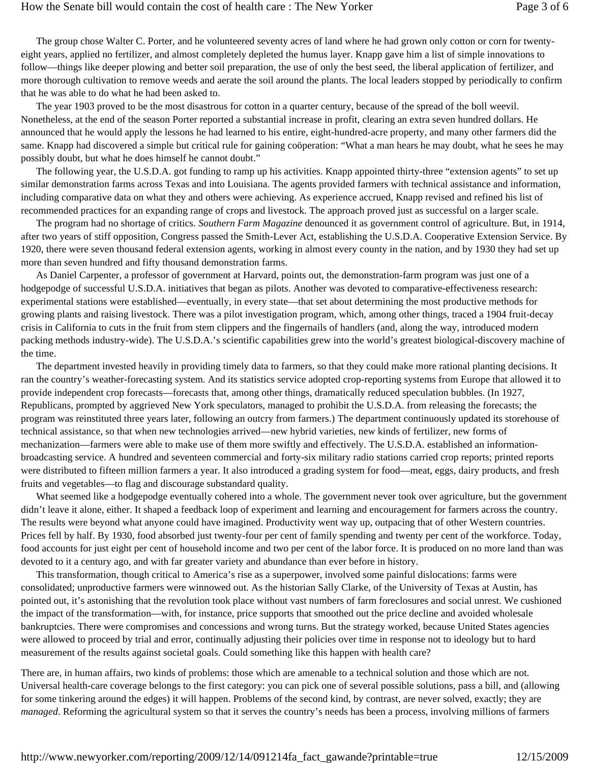The group chose Walter C. Porter, and he volunteered seventy acres of land where he had grown only cotton or corn for twentyeight years, applied no fertilizer, and almost completely depleted the humus layer. Knapp gave him a list of simple innovations to follow—things like deeper plowing and better soil preparation, the use of only the best seed, the liberal application of fertilizer, and more thorough cultivation to remove weeds and aerate the soil around the plants. The local leaders stopped by periodically to confirm that he was able to do what he had been asked to.

The year 1903 proved to be the most disastrous for cotton in a quarter century, because of the spread of the boll weevil. Nonetheless, at the end of the season Porter reported a substantial increase in profit, clearing an extra seven hundred dollars. He announced that he would apply the lessons he had learned to his entire, eight-hundred-acre property, and many other farmers did the same. Knapp had discovered a simple but critical rule for gaining coöperation: "What a man hears he may doubt, what he sees he may possibly doubt, but what he does himself he cannot doubt."

The following year, the U.S.D.A. got funding to ramp up his activities. Knapp appointed thirty-three "extension agents" to set up similar demonstration farms across Texas and into Louisiana. The agents provided farmers with technical assistance and information, including comparative data on what they and others were achieving. As experience accrued, Knapp revised and refined his list of recommended practices for an expanding range of crops and livestock. The approach proved just as successful on a larger scale.

The program had no shortage of critics. *Southern Farm Magazine* denounced it as government control of agriculture. But, in 1914, after two years of stiff opposition, Congress passed the Smith-Lever Act, establishing the U.S.D.A. Cooperative Extension Service. By 1920, there were seven thousand federal extension agents, working in almost every county in the nation, and by 1930 they had set up more than seven hundred and fifty thousand demonstration farms.

As Daniel Carpenter, a professor of government at Harvard, points out, the demonstration-farm program was just one of a hodgepodge of successful U.S.D.A. initiatives that began as pilots. Another was devoted to comparative-effectiveness research: experimental stations were established—eventually, in every state—that set about determining the most productive methods for growing plants and raising livestock. There was a pilot investigation program, which, among other things, traced a 1904 fruit-decay crisis in California to cuts in the fruit from stem clippers and the fingernails of handlers (and, along the way, introduced modern packing methods industry-wide). The U.S.D.A.'s scientific capabilities grew into the world's greatest biological-discovery machine of the time.

The department invested heavily in providing timely data to farmers, so that they could make more rational planting decisions. It ran the country's weather-forecasting system. And its statistics service adopted crop-reporting systems from Europe that allowed it to provide independent crop forecasts—forecasts that, among other things, dramatically reduced speculation bubbles. (In 1927, Republicans, prompted by aggrieved New York speculators, managed to prohibit the U.S.D.A. from releasing the forecasts; the program was reinstituted three years later, following an outcry from farmers.) The department continuously updated its storehouse of technical assistance, so that when new technologies arrived—new hybrid varieties, new kinds of fertilizer, new forms of mechanization—farmers were able to make use of them more swiftly and effectively. The U.S.D.A. established an informationbroadcasting service. A hundred and seventeen commercial and forty-six military radio stations carried crop reports; printed reports were distributed to fifteen million farmers a year. It also introduced a grading system for food—meat, eggs, dairy products, and fresh fruits and vegetables—to flag and discourage substandard quality.

What seemed like a hodgepodge eventually cohered into a whole. The government never took over agriculture, but the government didn't leave it alone, either. It shaped a feedback loop of experiment and learning and encouragement for farmers across the country. The results were beyond what anyone could have imagined. Productivity went way up, outpacing that of other Western countries. Prices fell by half. By 1930, food absorbed just twenty-four per cent of family spending and twenty per cent of the workforce. Today, food accounts for just eight per cent of household income and two per cent of the labor force. It is produced on no more land than was devoted to it a century ago, and with far greater variety and abundance than ever before in history.

This transformation, though critical to America's rise as a superpower, involved some painful dislocations: farms were consolidated; unproductive farmers were winnowed out. As the historian Sally Clarke, of the University of Texas at Austin, has pointed out, it's astonishing that the revolution took place without vast numbers of farm foreclosures and social unrest. We cushioned the impact of the transformation—with, for instance, price supports that smoothed out the price decline and avoided wholesale bankruptcies. There were compromises and concessions and wrong turns. But the strategy worked, because United States agencies were allowed to proceed by trial and error, continually adjusting their policies over time in response not to ideology but to hard measurement of the results against societal goals. Could something like this happen with health care?

There are, in human affairs, two kinds of problems: those which are amenable to a technical solution and those which are not. Universal health-care coverage belongs to the first category: you can pick one of several possible solutions, pass a bill, and (allowing for some tinkering around the edges) it will happen. Problems of the second kind, by contrast, are never solved, exactly; they are *managed*. Reforming the agricultural system so that it serves the country's needs has been a process, involving millions of farmers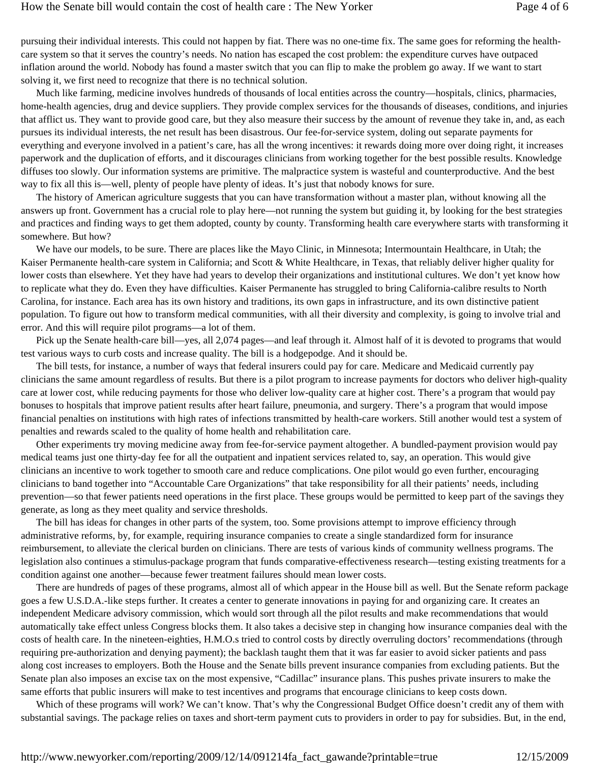pursuing their individual interests. This could not happen by fiat. There was no one-time fix. The same goes for reforming the healthcare system so that it serves the country's needs. No nation has escaped the cost problem: the expenditure curves have outpaced inflation around the world. Nobody has found a master switch that you can flip to make the problem go away. If we want to start solving it, we first need to recognize that there is no technical solution.

Much like farming, medicine involves hundreds of thousands of local entities across the country—hospitals, clinics, pharmacies, home-health agencies, drug and device suppliers. They provide complex services for the thousands of diseases, conditions, and injuries that afflict us. They want to provide good care, but they also measure their success by the amount of revenue they take in, and, as each pursues its individual interests, the net result has been disastrous. Our fee-for-service system, doling out separate payments for everything and everyone involved in a patient's care, has all the wrong incentives: it rewards doing more over doing right, it increases paperwork and the duplication of efforts, and it discourages clinicians from working together for the best possible results. Knowledge diffuses too slowly. Our information systems are primitive. The malpractice system is wasteful and counterproductive. And the best way to fix all this is—well, plenty of people have plenty of ideas. It's just that nobody knows for sure.

The history of American agriculture suggests that you can have transformation without a master plan, without knowing all the answers up front. Government has a crucial role to play here—not running the system but guiding it, by looking for the best strategies and practices and finding ways to get them adopted, county by county. Transforming health care everywhere starts with transforming it somewhere. But how?

We have our models, to be sure. There are places like the Mayo Clinic, in Minnesota; Intermountain Healthcare, in Utah; the Kaiser Permanente health-care system in California; and Scott & White Healthcare, in Texas, that reliably deliver higher quality for lower costs than elsewhere. Yet they have had years to develop their organizations and institutional cultures. We don't yet know how to replicate what they do. Even they have difficulties. Kaiser Permanente has struggled to bring California-calibre results to North Carolina, for instance. Each area has its own history and traditions, its own gaps in infrastructure, and its own distinctive patient population. To figure out how to transform medical communities, with all their diversity and complexity, is going to involve trial and error. And this will require pilot programs—a lot of them.

Pick up the Senate health-care bill—yes, all 2,074 pages—and leaf through it. Almost half of it is devoted to programs that would test various ways to curb costs and increase quality. The bill is a hodgepodge. And it should be.

The bill tests, for instance, a number of ways that federal insurers could pay for care. Medicare and Medicaid currently pay clinicians the same amount regardless of results. But there is a pilot program to increase payments for doctors who deliver high-quality care at lower cost, while reducing payments for those who deliver low-quality care at higher cost. There's a program that would pay bonuses to hospitals that improve patient results after heart failure, pneumonia, and surgery. There's a program that would impose financial penalties on institutions with high rates of infections transmitted by health-care workers. Still another would test a system of penalties and rewards scaled to the quality of home health and rehabilitation care.

Other experiments try moving medicine away from fee-for-service payment altogether. A bundled-payment provision would pay medical teams just one thirty-day fee for all the outpatient and inpatient services related to, say, an operation. This would give clinicians an incentive to work together to smooth care and reduce complications. One pilot would go even further, encouraging clinicians to band together into "Accountable Care Organizations" that take responsibility for all their patients' needs, including prevention—so that fewer patients need operations in the first place. These groups would be permitted to keep part of the savings they generate, as long as they meet quality and service thresholds.

The bill has ideas for changes in other parts of the system, too. Some provisions attempt to improve efficiency through administrative reforms, by, for example, requiring insurance companies to create a single standardized form for insurance reimbursement, to alleviate the clerical burden on clinicians. There are tests of various kinds of community wellness programs. The legislation also continues a stimulus-package program that funds comparative-effectiveness research—testing existing treatments for a condition against one another—because fewer treatment failures should mean lower costs.

There are hundreds of pages of these programs, almost all of which appear in the House bill as well. But the Senate reform package goes a few U.S.D.A.-like steps further. It creates a center to generate innovations in paying for and organizing care. It creates an independent Medicare advisory commission, which would sort through all the pilot results and make recommendations that would automatically take effect unless Congress blocks them. It also takes a decisive step in changing how insurance companies deal with the costs of health care. In the nineteen-eighties, H.M.O.s tried to control costs by directly overruling doctors' recommendations (through requiring pre-authorization and denying payment); the backlash taught them that it was far easier to avoid sicker patients and pass along cost increases to employers. Both the House and the Senate bills prevent insurance companies from excluding patients. But the Senate plan also imposes an excise tax on the most expensive, "Cadillac" insurance plans. This pushes private insurers to make the same efforts that public insurers will make to test incentives and programs that encourage clinicians to keep costs down.

Which of these programs will work? We can't know. That's why the Congressional Budget Office doesn't credit any of them with substantial savings. The package relies on taxes and short-term payment cuts to providers in order to pay for subsidies. But, in the end,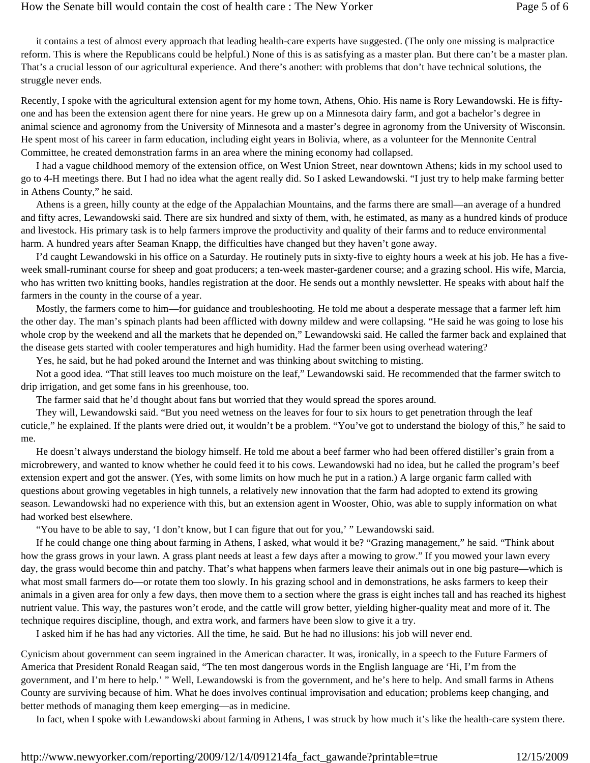it contains a test of almost every approach that leading health-care experts have suggested. (The only one missing is malpractice reform. This is where the Republicans could be helpful.) None of this is as satisfying as a master plan. But there can't be a master plan. That's a crucial lesson of our agricultural experience. And there's another: with problems that don't have technical solutions, the struggle never ends.

Recently, I spoke with the agricultural extension agent for my home town, Athens, Ohio. His name is Rory Lewandowski. He is fiftyone and has been the extension agent there for nine years. He grew up on a Minnesota dairy farm, and got a bachelor's degree in animal science and agronomy from the University of Minnesota and a master's degree in agronomy from the University of Wisconsin. He spent most of his career in farm education, including eight years in Bolivia, where, as a volunteer for the Mennonite Central Committee, he created demonstration farms in an area where the mining economy had collapsed.

I had a vague childhood memory of the extension office, on West Union Street, near downtown Athens; kids in my school used to go to 4-H meetings there. But I had no idea what the agent really did. So I asked Lewandowski. "I just try to help make farming better in Athens County," he said.

Athens is a green, hilly county at the edge of the Appalachian Mountains, and the farms there are small—an average of a hundred and fifty acres, Lewandowski said. There are six hundred and sixty of them, with, he estimated, as many as a hundred kinds of produce and livestock. His primary task is to help farmers improve the productivity and quality of their farms and to reduce environmental harm. A hundred years after Seaman Knapp, the difficulties have changed but they haven't gone away.

I'd caught Lewandowski in his office on a Saturday. He routinely puts in sixty-five to eighty hours a week at his job. He has a fiveweek small-ruminant course for sheep and goat producers; a ten-week master-gardener course; and a grazing school. His wife, Marcia, who has written two knitting books, handles registration at the door. He sends out a monthly newsletter. He speaks with about half the farmers in the county in the course of a year.

Mostly, the farmers come to him—for guidance and troubleshooting. He told me about a desperate message that a farmer left him the other day. The man's spinach plants had been afflicted with downy mildew and were collapsing. "He said he was going to lose his whole crop by the weekend and all the markets that he depended on," Lewandowski said. He called the farmer back and explained that the disease gets started with cooler temperatures and high humidity. Had the farmer been using overhead watering?

Yes, he said, but he had poked around the Internet and was thinking about switching to misting.

Not a good idea. "That still leaves too much moisture on the leaf," Lewandowski said. He recommended that the farmer switch to drip irrigation, and get some fans in his greenhouse, too.

The farmer said that he'd thought about fans but worried that they would spread the spores around.

They will, Lewandowski said. "But you need wetness on the leaves for four to six hours to get penetration through the leaf cuticle," he explained. If the plants were dried out, it wouldn't be a problem. "You've got to understand the biology of this," he said to me.

He doesn't always understand the biology himself. He told me about a beef farmer who had been offered distiller's grain from a microbrewery, and wanted to know whether he could feed it to his cows. Lewandowski had no idea, but he called the program's beef extension expert and got the answer. (Yes, with some limits on how much he put in a ration.) A large organic farm called with questions about growing vegetables in high tunnels, a relatively new innovation that the farm had adopted to extend its growing season. Lewandowski had no experience with this, but an extension agent in Wooster, Ohio, was able to supply information on what had worked best elsewhere.

"You have to be able to say, 'I don't know, but I can figure that out for you,' " Lewandowski said.

If he could change one thing about farming in Athens, I asked, what would it be? "Grazing management," he said. "Think about how the grass grows in your lawn. A grass plant needs at least a few days after a mowing to grow." If you mowed your lawn every day, the grass would become thin and patchy. That's what happens when farmers leave their animals out in one big pasture—which is what most small farmers do—or rotate them too slowly. In his grazing school and in demonstrations, he asks farmers to keep their animals in a given area for only a few days, then move them to a section where the grass is eight inches tall and has reached its highest nutrient value. This way, the pastures won't erode, and the cattle will grow better, yielding higher-quality meat and more of it. The technique requires discipline, though, and extra work, and farmers have been slow to give it a try.

I asked him if he has had any victories. All the time, he said. But he had no illusions: his job will never end.

Cynicism about government can seem ingrained in the American character. It was, ironically, in a speech to the Future Farmers of America that President Ronald Reagan said, "The ten most dangerous words in the English language are 'Hi, I'm from the government, and I'm here to help.' " Well, Lewandowski is from the government, and he's here to help. And small farms in Athens County are surviving because of him. What he does involves continual improvisation and education; problems keep changing, and better methods of managing them keep emerging—as in medicine.

In fact, when I spoke with Lewandowski about farming in Athens, I was struck by how much it's like the health-care system there.